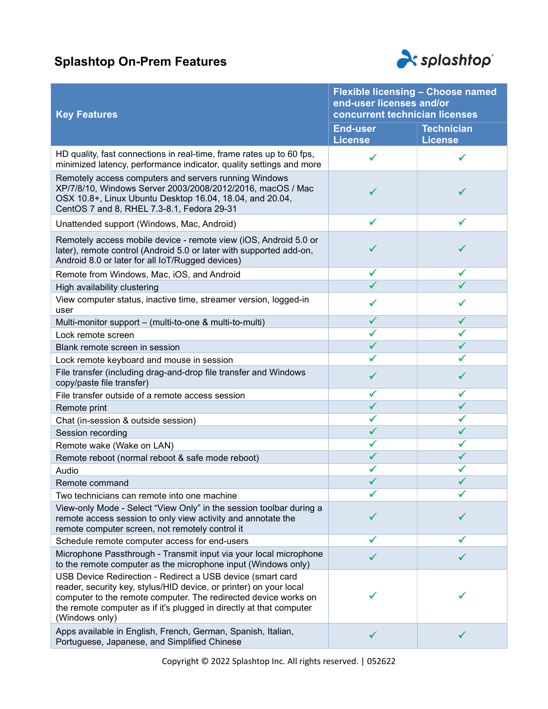## Splashtop On-Prem Features



| <b>Key Features</b>                                                                                                                                                                                                                                                                          | <b>Flexible licensing - Choose named</b><br>end-user licenses and/or<br>concurrent technician licenses |                                     |
|----------------------------------------------------------------------------------------------------------------------------------------------------------------------------------------------------------------------------------------------------------------------------------------------|--------------------------------------------------------------------------------------------------------|-------------------------------------|
|                                                                                                                                                                                                                                                                                              | <b>End-user</b><br><b>License</b>                                                                      | <b>Technician</b><br><b>License</b> |
| HD quality, fast connections in real-time, frame rates up to 60 fps,<br>minimized latency, performance indicator, quality settings and more                                                                                                                                                  | ✔                                                                                                      |                                     |
| Remotely access computers and servers running Windows<br>XP/7/8/10, Windows Server 2003/2008/2012/2016, macOS / Mac<br>OSX 10.8+, Linux Ubuntu Desktop 16.04, 18.04, and 20.04,<br>CentOS 7 and 8, RHEL 7.3-8.1, Fedora 29-31                                                                |                                                                                                        |                                     |
| Unattended support (Windows, Mac, Android)                                                                                                                                                                                                                                                   | ✔                                                                                                      |                                     |
| Remotely access mobile device - remote view (iOS, Android 5.0 or<br>later), remote control (Android 5.0 or later with supported add-on,<br>Android 8.0 or later for all IoT/Rugged devices)                                                                                                  |                                                                                                        |                                     |
| Remote from Windows, Mac, iOS, and Android                                                                                                                                                                                                                                                   | ✓                                                                                                      |                                     |
| High availability clustering                                                                                                                                                                                                                                                                 |                                                                                                        |                                     |
| View computer status, inactive time, streamer version, logged-in<br>user                                                                                                                                                                                                                     |                                                                                                        |                                     |
| Multi-monitor support - (multi-to-one & multi-to-multi)                                                                                                                                                                                                                                      | ✔                                                                                                      |                                     |
| Lock remote screen                                                                                                                                                                                                                                                                           | ✔                                                                                                      |                                     |
| Blank remote screen in session                                                                                                                                                                                                                                                               |                                                                                                        |                                     |
| Lock remote keyboard and mouse in session                                                                                                                                                                                                                                                    |                                                                                                        |                                     |
| File transfer (including drag-and-drop file transfer and Windows<br>copy/paste file transfer)                                                                                                                                                                                                | ✔                                                                                                      | ✓                                   |
| File transfer outside of a remote access session                                                                                                                                                                                                                                             | ✔                                                                                                      |                                     |
| Remote print                                                                                                                                                                                                                                                                                 | $\checkmark$                                                                                           | ✓                                   |
| Chat (in-session & outside session)                                                                                                                                                                                                                                                          | ✓                                                                                                      | ✓                                   |
| Session recording                                                                                                                                                                                                                                                                            | ✔                                                                                                      |                                     |
| Remote wake (Wake on LAN)                                                                                                                                                                                                                                                                    | ✔                                                                                                      | ✔                                   |
| Remote reboot (normal reboot & safe mode reboot)                                                                                                                                                                                                                                             | ✓                                                                                                      |                                     |
| Audio                                                                                                                                                                                                                                                                                        |                                                                                                        |                                     |
| Remote command                                                                                                                                                                                                                                                                               | ✓                                                                                                      | ✓                                   |
| Two technicians can remote into one machine                                                                                                                                                                                                                                                  |                                                                                                        |                                     |
| View-only Mode - Select "View Only" in the session toolbar during a<br>remote access session to only view activity and annotate the<br>remote computer screen, not remotely control it                                                                                                       |                                                                                                        |                                     |
| Schedule remote computer access for end-users                                                                                                                                                                                                                                                |                                                                                                        |                                     |
| Microphone Passthrough - Transmit input via your local microphone<br>to the remote computer as the microphone input (Windows only)                                                                                                                                                           |                                                                                                        |                                     |
| USB Device Redirection - Redirect a USB device (smart card<br>reader, security key, stylus/HID device, or printer) on your local<br>computer to the remote computer. The redirected device works on<br>the remote computer as if it's plugged in directly at that computer<br>(Windows only) |                                                                                                        |                                     |
| Apps available in English, French, German, Spanish, Italian,<br>Portuguese, Japanese, and Simplified Chinese                                                                                                                                                                                 |                                                                                                        |                                     |